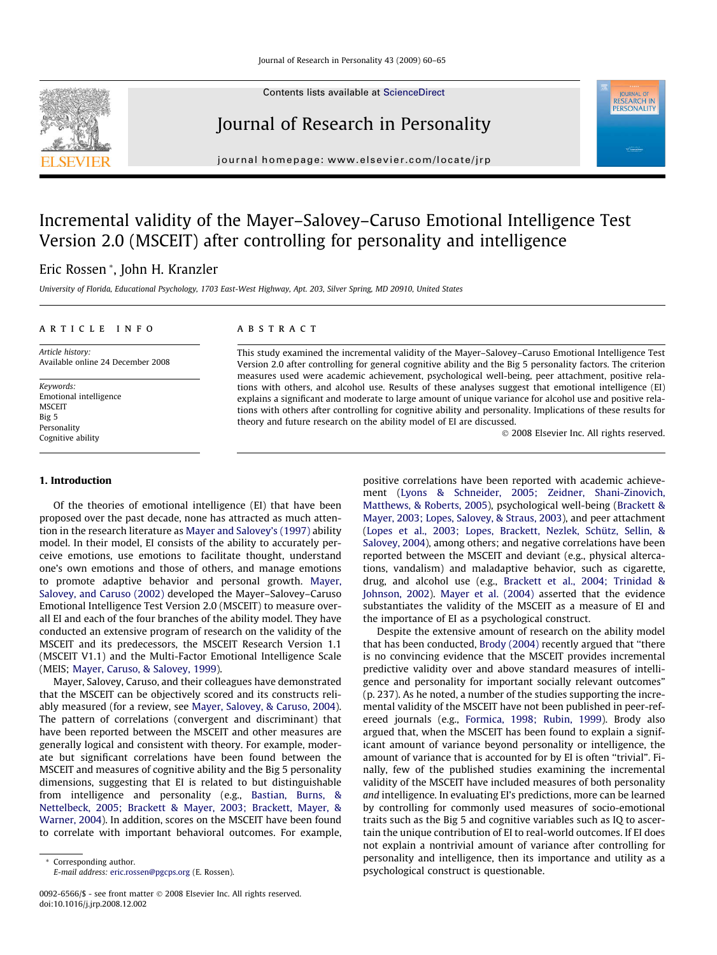Contents lists available at [ScienceDirect](http://www.sciencedirect.com/science/journal/00926566)

# Journal of Research in Personality

journal homepage: [www.elsevier.com/locate/jrp](http://www.elsevier.com/locate/jrp)

## Incremental validity of the Mayer–Salovey–Caruso Emotional Intelligence Test Version 2.0 (MSCEIT) after controlling for personality and intelligence

### Eric Rossen \*, John H. Kranzler

University of Florida, Educational Psychology, 1703 East-West Highway, Apt. 203, Silver Spring, MD 20910, United States

#### article info

Article history: Available online 24 December 2008

Keywords: Emotional intelligence **MSCEIT** Big 5 Personality Cognitive ability

#### **ABSTRACT**

This study examined the incremental validity of the Mayer–Salovey–Caruso Emotional Intelligence Test Version 2.0 after controlling for general cognitive ability and the Big 5 personality factors. The criterion measures used were academic achievement, psychological well-being, peer attachment, positive relations with others, and alcohol use. Results of these analyses suggest that emotional intelligence (EI) explains a significant and moderate to large amount of unique variance for alcohol use and positive relations with others after controlling for cognitive ability and personality. Implications of these results for theory and future research on the ability model of EI are discussed.

- 2008 Elsevier Inc. All rights reserved.

#### 1. Introduction

Of the theories of emotional intelligence (EI) that have been proposed over the past decade, none has attracted as much attention in the research literature as [Mayer and Salovey's \(1997\)](#page--1-0) ability model. In their model, EI consists of the ability to accurately perceive emotions, use emotions to facilitate thought, understand one's own emotions and those of others, and manage emotions to promote adaptive behavior and personal growth. [Mayer,](#page--1-0) [Salovey, and Caruso \(2002\)](#page--1-0) developed the Mayer–Salovey–Caruso Emotional Intelligence Test Version 2.0 (MSCEIT) to measure overall EI and each of the four branches of the ability model. They have conducted an extensive program of research on the validity of the MSCEIT and its predecessors, the MSCEIT Research Version 1.1 (MSCEIT V1.1) and the Multi-Factor Emotional Intelligence Scale (MEIS; [Mayer, Caruso, & Salovey, 1999\)](#page--1-0).

Mayer, Salovey, Caruso, and their colleagues have demonstrated that the MSCEIT can be objectively scored and its constructs reliably measured (for a review, see [Mayer, Salovey, & Caruso, 2004\)](#page--1-0). The pattern of correlations (convergent and discriminant) that have been reported between the MSCEIT and other measures are generally logical and consistent with theory. For example, moderate but significant correlations have been found between the MSCEIT and measures of cognitive ability and the Big 5 personality dimensions, suggesting that EI is related to but distinguishable from intelligence and personality (e.g., [Bastian, Burns, &](#page--1-0) [Nettelbeck, 2005; Brackett & Mayer, 2003; Brackett, Mayer, &](#page--1-0) [Warner, 2004](#page--1-0)). In addition, scores on the MSCEIT have been found to correlate with important behavioral outcomes. For example,

\* Corresponding author. E-mail address: [eric.rossen@pgcps.org](mailto:eric.rossen@pgcps.org) (E. Rossen).

positive correlations have been reported with academic achievement [\(Lyons & Schneider, 2005; Zeidner, Shani-Zinovich,](#page--1-0) [Matthews, & Roberts, 2005](#page--1-0)), psychological well-being ([Brackett &](#page--1-0) [Mayer, 2003; Lopes, Salovey, & Straus, 2003\)](#page--1-0), and peer attachment ([Lopes et al., 2003; Lopes, Brackett, Nezlek, Schütz, Sellin, &](#page--1-0) [Salovey, 2004](#page--1-0)), among others; and negative correlations have been reported between the MSCEIT and deviant (e.g., physical altercations, vandalism) and maladaptive behavior, such as cigarette, drug, and alcohol use (e.g., [Brackett et al., 2004; Trinidad &](#page--1-0) [Johnson, 2002\)](#page--1-0). [Mayer et al. \(2004\)](#page--1-0) asserted that the evidence substantiates the validity of the MSCEIT as a measure of EI and the importance of EI as a psychological construct.

Despite the extensive amount of research on the ability model that has been conducted, [Brody \(2004\)](#page--1-0) recently argued that ''there is no convincing evidence that the MSCEIT provides incremental predictive validity over and above standard measures of intelligence and personality for important socially relevant outcomes" (p. 237). As he noted, a number of the studies supporting the incremental validity of the MSCEIT have not been published in peer-refereed journals (e.g., [Formica, 1998; Rubin, 1999\)](#page--1-0). Brody also argued that, when the MSCEIT has been found to explain a significant amount of variance beyond personality or intelligence, the amount of variance that is accounted for by EI is often ''trivial". Finally, few of the published studies examining the incremental validity of the MSCEIT have included measures of both personality and intelligence. In evaluating EI's predictions, more can be learned by controlling for commonly used measures of socio-emotional traits such as the Big 5 and cognitive variables such as IQ to ascertain the unique contribution of EI to real-world outcomes. If EI does not explain a nontrivial amount of variance after controlling for personality and intelligence, then its importance and utility as a psychological construct is questionable.



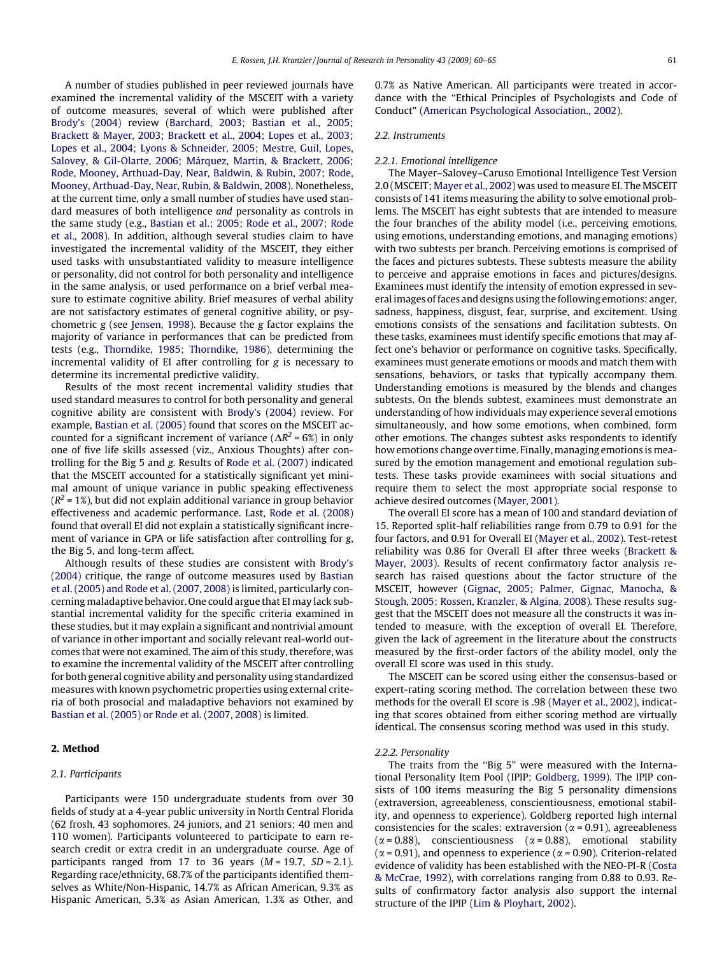A number of studies published in peer reviewed journals have examined the incremental validity of the MSCEIT with a variety of outcome measures, several of which were published after [Brody's \(2004\)](#page--1-0) review ([Barchard, 2003; Bastian et al., 2005;](#page--1-0) [Brackett & Mayer, 2003; Brackett et al., 2004; Lopes et al., 2003;](#page--1-0) [Lopes et al., 2004; Lyons & Schneider, 2005; Mestre, Guil, Lopes,](#page--1-0) [Salovey, & Gil-Olarte, 2006; Márquez, Martin, & Brackett, 2006;](#page--1-0) [Rode, Mooney, Arthuad-Day, Near, Baldwin, & Rubin, 2007; Rode,](#page--1-0) [Mooney, Arthuad-Day, Near, Rubin, & Baldwin, 2008\)](#page--1-0). Nonetheless, at the current time, only a small number of studies have used standard measures of both intelligence and personality as controls in the same study (e.g., [Bastian et al.; 2005; Rode et al., 2007; Rode](#page--1-0) [et al., 2008](#page--1-0)). In addition, although several studies claim to have investigated the incremental validity of the MSCEIT, they either used tasks with unsubstantiated validity to measure intelligence or personality, did not control for both personality and intelligence in the same analysis, or used performance on a brief verbal measure to estimate cognitive ability. Brief measures of verbal ability are not satisfactory estimates of general cognitive ability, or psychometric g (see [Jensen, 1998\)](#page--1-0). Because the g factor explains the majority of variance in performances that can be predicted from tests (e.g., [Thorndike, 1985; Thorndike, 1986](#page--1-0)), determining the incremental validity of EI after controlling for g is necessary to determine its incremental predictive validity.

Results of the most recent incremental validity studies that used standard measures to control for both personality and general cognitive ability are consistent with [Brody's \(2004\)](#page--1-0) review. For example, [Bastian et al. \(2005\)](#page--1-0) found that scores on the MSCEIT accounted for a significant increment of variance ( $\Delta R^2$  = 6%) in only one of five life skills assessed (viz., Anxious Thoughts) after controlling for the Big 5 and g. Results of [Rode et al. \(2007\)](#page--1-0) indicated that the MSCEIT accounted for a statistically significant yet minimal amount of unique variance in public speaking effectiveness  $(R^2 = 1\%)$ , but did not explain additional variance in group behavior effectiveness and academic performance. Last, [Rode et al. \(2008\)](#page--1-0) found that overall EI did not explain a statistically significant increment of variance in GPA or life satisfaction after controlling for g, the Big 5, and long-term affect.

Although results of these studies are consistent with [Brody's](#page--1-0) [\(2004\)](#page--1-0) critique, the range of outcome measures used by [Bastian](#page--1-0) [et al. \(2005\) and Rode et al. \(2007, 2008\)](#page--1-0) is limited, particularly concerning maladaptive behavior. One could argue that EI may lack substantial incremental validity for the specific criteria examined in these studies, but it may explain a significant and nontrivial amount of variance in other important and socially relevant real-world outcomes that were not examined. The aim of this study, therefore, was to examine the incremental validity of the MSCEIT after controlling for both general cognitive ability and personality using standardized measures with known psychometric properties using external criteria of both prosocial and maladaptive behaviors not examined by [Bastian et al. \(2005\) or Rode et al. \(2007, 2008\)](#page--1-0) is limited.

#### 2. Method

#### 2.1. Participants

Participants were 150 undergraduate students from over 30 fields of study at a 4-year public university in North Central Florida (62 frosh, 43 sophomores, 24 juniors, and 21 seniors; 40 men and 110 women). Participants volunteered to participate to earn research credit or extra credit in an undergraduate course. Age of participants ranged from 17 to 36 years  $(M = 19.7, SD = 2.1)$ . Regarding race/ethnicity, 68.7% of the participants identified themselves as White/Non-Hispanic, 14.7% as African American, 9.3% as Hispanic American, 5.3% as Asian American, 1.3% as Other, and 0.7% as Native American. All participants were treated in accordance with the ''Ethical Principles of Psychologists and Code of Conduct" ([American Psychological Association., 2002](#page--1-0)).

#### 2.2. Instruments

#### 2.2.1. Emotional intelligence

The Mayer–Salovey–Caruso Emotional Intelligence Test Version 2.0 (MSCEIT; [Mayer et al., 2002](#page--1-0)) was used to measure EI. The MSCEIT consists of 141 items measuring the ability to solve emotional problems. The MSCEIT has eight subtests that are intended to measure the four branches of the ability model (i.e., perceiving emotions, using emotions, understanding emotions, and managing emotions) with two subtests per branch. Perceiving emotions is comprised of the faces and pictures subtests. These subtests measure the ability to perceive and appraise emotions in faces and pictures/designs. Examinees must identify the intensity of emotion expressed in several images of faces and designs using the following emotions: anger, sadness, happiness, disgust, fear, surprise, and excitement. Using emotions consists of the sensations and facilitation subtests. On these tasks, examinees must identify specific emotions that may affect one's behavior or performance on cognitive tasks. Specifically, examinees must generate emotions or moods and match them with sensations, behaviors, or tasks that typically accompany them. Understanding emotions is measured by the blends and changes subtests. On the blends subtest, examinees must demonstrate an understanding of how individuals may experience several emotions simultaneously, and how some emotions, when combined, form other emotions. The changes subtest asks respondents to identify how emotions change over time. Finally, managing emotions is measured by the emotion management and emotional regulation subtests. These tasks provide examinees with social situations and require them to select the most appropriate social response to achieve desired outcomes [\(Mayer, 2001](#page--1-0)).

The overall EI score has a mean of 100 and standard deviation of 15. Reported split-half reliabilities range from 0.79 to 0.91 for the four factors, and 0.91 for Overall EI ([Mayer et al., 2002\)](#page--1-0). Test-retest reliability was 0.86 for Overall EI after three weeks ([Brackett &](#page--1-0) [Mayer, 2003](#page--1-0)). Results of recent confirmatory factor analysis research has raised questions about the factor structure of the MSCEIT, however [\(Gignac, 2005; Palmer, Gignac, Manocha, &](#page--1-0) [Stough, 2005; Rossen, Kranzler, & Algina, 2008](#page--1-0)). These results suggest that the MSCEIT does not measure all the constructs it was intended to measure, with the exception of overall EI. Therefore, given the lack of agreement in the literature about the constructs measured by the first-order factors of the ability model, only the overall EI score was used in this study.

The MSCEIT can be scored using either the consensus-based or expert-rating scoring method. The correlation between these two methods for the overall EI score is .98 ([Mayer et al., 2002](#page--1-0)), indicating that scores obtained from either scoring method are virtually identical. The consensus scoring method was used in this study.

#### 2.2.2. Personality

The traits from the ''Big 5" were measured with the International Personality Item Pool (IPIP; [Goldberg, 1999](#page--1-0)). The IPIP consists of 100 items measuring the Big 5 personality dimensions (extraversion, agreeableness, conscientiousness, emotional stability, and openness to experience). Goldberg reported high internal consistencies for the scales: extraversion ( $\alpha$  = 0.91), agreeableness  $(\alpha = 0.88)$ , conscientiousness  $(\alpha = 0.88)$ , emotional stability ( $\alpha$  = 0.91), and openness to experience ( $\alpha$  = 0.90). Criterion-related evidence of validity has been established with the NEO-PI-R [\(Costa](#page--1-0) [& McCrae, 1992\)](#page--1-0), with correlations ranging from 0.88 to 0.93. Results of confirmatory factor analysis also support the internal structure of the IPIP ([Lim & Ployhart, 2002\)](#page--1-0).